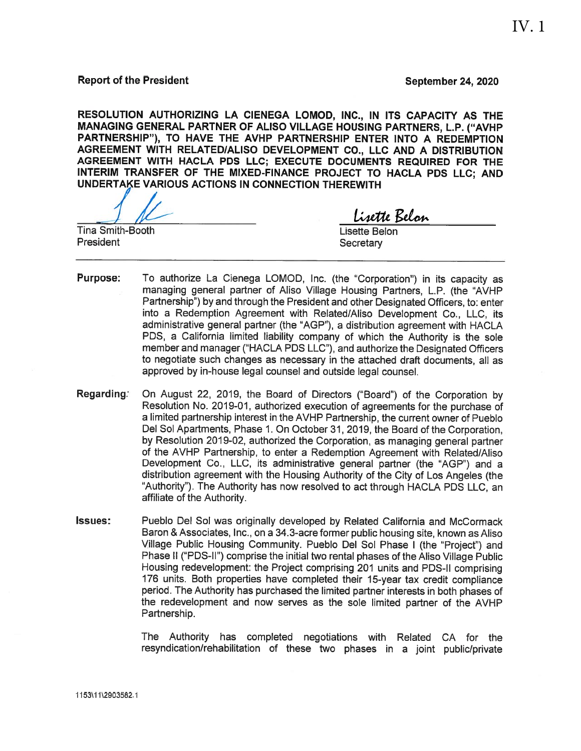### **Report of the President**

**September 24, 2020** 

RESOLUTION AUTHORIZING LA CIENEGA LOMOD, INC., IN ITS CAPACITY AS THE MANAGING GENERAL PARTNER OF ALISO VILLAGE HOUSING PARTNERS, L.P. ("AVHP PARTNERSHIP"), TO HAVE THE AVHP PARTNERSHIP ENTER INTO A REDEMPTION AGREEMENT WITH RELATED/ALISO DEVELOPMENT CO., LLC AND A DISTRIBUTION AGREEMENT WITH HACLA PDS LLC; EXECUTE DOCUMENTS REQUIRED FOR THE INTERIM TRANSFER OF THE MIXED-FINANCE PROJECT TO HACLA PDS LLC; AND UNDERTAKE VARIOUS ACTIONS IN CONNECTION THEREWITH

**Tina Smith-Booth** President

Lisette Belon

Lisette Belon Secretary

- **Purpose:** To authorize La Cienega LOMOD, Inc. (the "Corporation") in its capacity as managing general partner of Aliso Village Housing Partners, L.P. (the "AVHP Partnership") by and through the President and other Designated Officers, to: enter into a Redemption Agreement with Related/Aliso Development Co., LLC, its administrative general partner (the "AGP"), a distribution agreement with HACLA PDS, a California limited liability company of which the Authority is the sole member and manager ("HACLA PDS LLC"), and authorize the Designated Officers to negotiate such changes as necessary in the attached draft documents, all as approved by in-house legal counsel and outside legal counsel.
- Regarding: On August 22, 2019, the Board of Directors ("Board") of the Corporation by Resolution No. 2019-01, authorized execution of agreements for the purchase of a limited partnership interest in the AVHP Partnership, the current owner of Pueblo Del Sol Apartments, Phase 1. On October 31, 2019, the Board of the Corporation. by Resolution 2019-02, authorized the Corporation, as managing general partner of the AVHP Partnership, to enter a Redemption Agreement with Related/Aliso Development Co., LLC, its administrative general partner (the "AGP") and a distribution agreement with the Housing Authority of the City of Los Angeles (the "Authority"). The Authority has now resolved to act through HACLA PDS LLC, an affiliate of the Authority.
- **Issues:** Pueblo Del Sol was originally developed by Related California and McCormack Baron & Associates, Inc., on a 34.3-acre former public housing site, known as Aliso Village Public Housing Community. Pueblo Del Sol Phase I (the "Project") and Phase II ("PDS-II") comprise the initial two rental phases of the Aliso Village Public Housing redevelopment: the Project comprising 201 units and PDS-II comprising 176 units. Both properties have completed their 15-year tax credit compliance period. The Authority has purchased the limited partner interests in both phases of the redevelopment and now serves as the sole limited partner of the AVHP Partnership.

The Authority has completed negotiations with Related CA for the resyndication/rehabilitation of these two phases in a joint public/private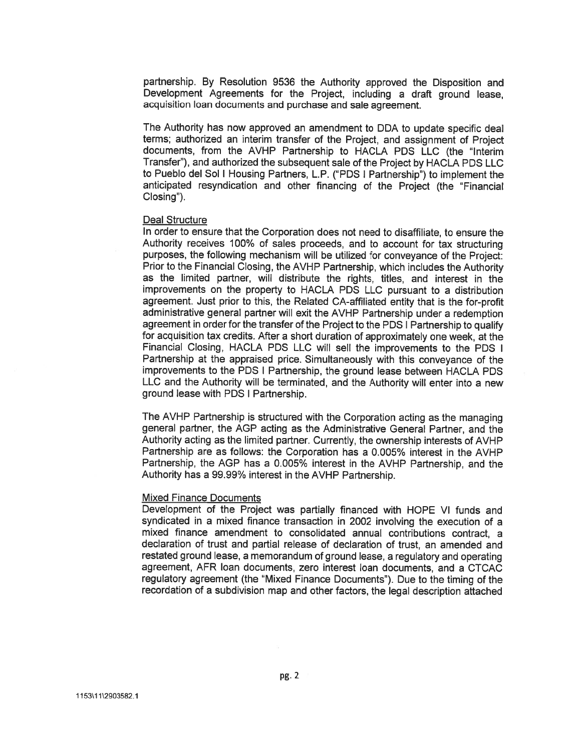partnership. By Resolution 9536 the Authority approved the Disposition and Development Agreements for the Project, including a draft ground lease. acquisition loan documents and purchase and sale agreement.

The Authority has now approved an amendment to DDA to update specific deal terms; authorized an interim transfer of the Project, and assignment of Project documents, from the AVHP Partnership to HACLA PDS LLC (the "Interim Transfer"), and authorized the subsequent sale of the Project by HACLA PDS LLC to Pueblo del Sol I Housing Partners, L.P. ("PDS I Partnership") to implement the anticipated resyndication and other financing of the Project (the "Financial Closing").

#### **Deal Structure**

In order to ensure that the Corporation does not need to disaffiliate, to ensure the Authority receives 100% of sales proceeds, and to account for tax structuring purposes, the following mechanism will be utilized for conveyance of the Project: Prior to the Financial Closing, the AVHP Partnership, which includes the Authority as the limited partner, will distribute the rights, titles, and interest in the improvements on the property to HACLA PDS LLC pursuant to a distribution agreement. Just prior to this, the Related CA-affiliated entity that is the for-profit administrative general partner will exit the AVHP Partnership under a redemption agreement in order for the transfer of the Project to the PDS | Partnership to qualify for acquisition tax credits. After a short duration of approximately one week, at the Financial Closing, HACLA PDS LLC will sell the improvements to the PDS I Partnership at the appraised price. Simultaneously with this conveyance of the improvements to the PDS I Partnership, the ground lease between HACLA PDS LLC and the Authority will be terminated, and the Authority will enter into a new ground lease with PDS I Partnership.

The AVHP Partnership is structured with the Corporation acting as the managing general partner, the AGP acting as the Administrative General Partner, and the Authority acting as the limited partner. Currently, the ownership interests of AVHP Partnership are as follows: the Corporation has a 0.005% interest in the AVHP Partnership, the AGP has a 0.005% interest in the AVHP Partnership, and the Authority has a 99.99% interest in the AVHP Partnership.

#### **Mixed Finance Documents**

Development of the Project was partially financed with HOPE VI funds and syndicated in a mixed finance transaction in 2002 involving the execution of a mixed finance amendment to consolidated annual contributions contract, a declaration of trust and partial release of declaration of trust, an amended and restated ground lease, a memorandum of ground lease, a regulatory and operating agreement, AFR loan documents, zero interest loan documents, and a CTCAC regulatory agreement (the "Mixed Finance Documents"). Due to the timing of the recordation of a subdivision map and other factors, the legal description attached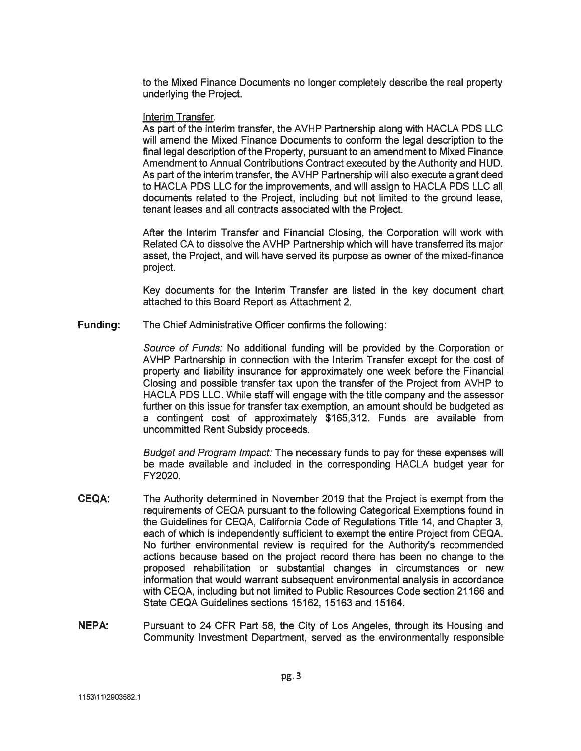to the Mixed Finance Documents no longer completely describe the real property underlying the Project.

## Interim Transfer.

As part of the interim transfer, the AVHP Partnership along with HACLA PDS LLC will amend the Mixed Finance Documents to conform the legal description to the final legal description of the Property, pursuant to an amendment to Mixed Finance Amendment to Annual Contributions Contract executed by the Authority and HUD. As part of the interim transfer, the AVHP Partnership will also execute a grant deed to HACLA PDS LLC for the improvements, and will assign to HACLA PDS LLC all documents related to the Project, including but not limited to the ground lease, tenant leases and all contracts associated with the Project.

After the Interim Transfer and Financial Closing, the Corporation will work with Related CA to dissolve the AVHP Partnership which will have transferred its major asset, the Project, and will have served its purpose as owner of the mixed-finance project.

Key documents for the Interim Transfer are listed in the key document chart attached to this Board Report as Attachment 2.

**Funding:** The Chief Administrative Officer confirms the following:

> Source of Funds: No additional funding will be provided by the Corporation or AVHP Partnership in connection with the Interim Transfer except for the cost of property and liability insurance for approximately one week before the Financial Closing and possible transfer tax upon the transfer of the Project from AVHP to HACLA PDS LLC. While staff will engage with the title company and the assessor further on this issue for transfer tax exemption, an amount should be budgeted as a contingent cost of approximately \$165,312. Funds are available from uncommitted Rent Subsidy proceeds.

> Budget and Program Impact: The necessary funds to pay for these expenses will be made available and included in the corresponding HACLA budget year for FY2020.

- CEQA: The Authority determined in November 2019 that the Project is exempt from the requirements of CEQA pursuant to the following Categorical Exemptions found in the Guidelines for CEQA, California Code of Regulations Title 14, and Chapter 3, each of which is independently sufficient to exempt the entire Project from CEQA. No further environmental review is required for the Authority's recommended actions because based on the project record there has been no change to the proposed rehabilitation or substantial changes in circumstances or new information that would warrant subsequent environmental analysis in accordance with CEQA, including but not limited to Public Resources Code section 21166 and State CEQA Guidelines sections 15162, 15163 and 15164.
- **NEPA:** Pursuant to 24 CFR Part 58, the City of Los Angeles, through its Housing and Community Investment Department, served as the environmentally responsible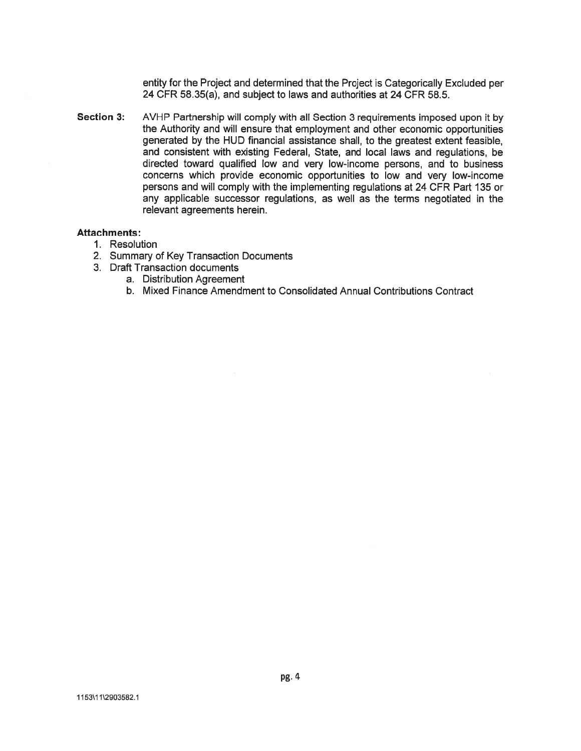entity for the Project and determined that the Project is Categorically Excluded per 24 CFR 58.35(a), and subject to laws and authorities at 24 CFR 58.5.

**Section 3:** AVHP Partnership will comply with all Section 3 requirements imposed upon it by the Authority and will ensure that employment and other economic opportunities generated by the HUD financial assistance shall, to the greatest extent feasible, and consistent with existing Federal, State, and local laws and regulations, be directed toward qualified low and very low-income persons, and to business concerns which provide economic opportunities to low and very low-income persons and will comply with the implementing regulations at 24 CFR Part 135 or any applicable successor regulations, as well as the terms negotiated in the relevant agreements herein.

#### **Attachments:**

- 1. Resolution
- 2. Summary of Key Transaction Documents
- 3. Draft Transaction documents
	- a. Distribution Agreement
	- b. Mixed Finance Amendment to Consolidated Annual Contributions Contract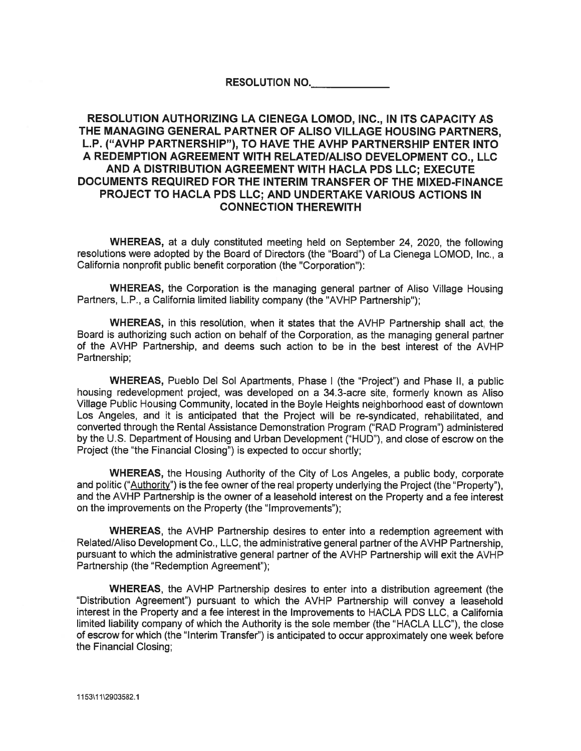## RESOLUTION NO.

# RESOLUTION AUTHORIZING LA CIENEGA LOMOD. INC.. IN ITS CAPACITY AS THE MANAGING GENERAL PARTNER OF ALISO VILLAGE HOUSING PARTNERS. L.P. ("AVHP PARTNERSHIP"), TO HAVE THE AVHP PARTNERSHIP ENTER INTO A REDEMPTION AGREEMENT WITH RELATED/ALISO DEVELOPMENT CO., LLC AND A DISTRIBUTION AGREEMENT WITH HACLA PDS LLC; EXECUTE DOCUMENTS REQUIRED FOR THE INTERIM TRANSFER OF THE MIXED-FINANCE **PROJECT TO HACLA PDS LLC: AND UNDERTAKE VARIOUS ACTIONS IN CONNECTION THEREWITH**

WHEREAS, at a duly constituted meeting held on September 24, 2020, the following resolutions were adopted by the Board of Directors (the "Board") of La Cienega LOMOD, Inc., a California nonprofit public benefit corporation (the "Corporation"):

**WHEREAS, the Corporation is the managing general partner of Aliso Village Housing** Partners, L.P., a California limited liability company (the "AVHP Partnership");

WHEREAS, in this resolution, when it states that the AVHP Partnership shall act, the Board is authorizing such action on behalf of the Corporation, as the managing general partner of the AVHP Partnership, and deems such action to be in the best interest of the AVHP Partnership:

**WHEREAS, Pueblo Del Sol Apartments, Phase I (the "Project") and Phase II, a public** housing redevelopment project, was developed on a 34.3-acre site, formerly known as Aliso Village Public Housing Community, located in the Boyle Heights neighborhood east of downtown Los Angeles, and it is anticipated that the Project will be re-syndicated, rehabilitated, and converted through the Rental Assistance Demonstration Program ("RAD Program") administered by the U.S. Department of Housing and Urban Development ("HUD"), and close of escrow on the Project (the "the Financial Closing") is expected to occur shortly;

**WHEREAS**, the Housing Authority of the City of Los Angeles, a public body, corporate and politic ("Authority") is the fee owner of the real property underlying the Project (the "Property"), and the AVHP Partnership is the owner of a leasehold interest on the Property and a fee interest on the improvements on the Property (the "Improvements");

WHEREAS, the AVHP Partnership desires to enter into a redemption agreement with Related/Aliso Development Co., LLC, the administrative general partner of the AVHP Partnership, pursuant to which the administrative general partner of the AVHP Partnership will exit the AVHP Partnership (the "Redemption Agreement");

WHEREAS, the AVHP Partnership desires to enter into a distribution agreement (the "Distribution Agreement") pursuant to which the AVHP Partnership will convey a leasehold interest in the Property and a fee interest in the Improvements to HACLA PDS LLC, a California limited liability company of which the Authority is the sole member (the "HACLA LLC"), the close of escrow for which (the "Interim Transfer") is anticipated to occur approximately one week before the Financial Closing;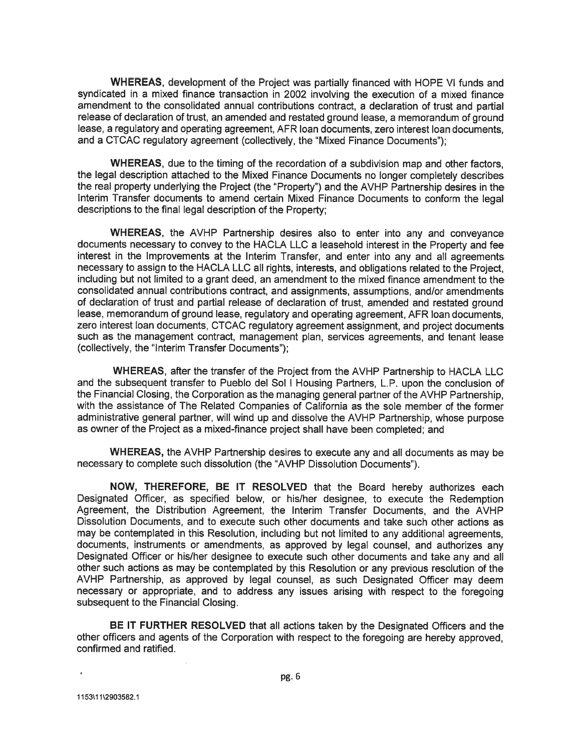**WHEREAS, development of the Project was partially financed with HOPE VI funds and** syndicated in a mixed finance transaction in 2002 involving the execution of a mixed finance amendment to the consolidated annual contributions contract, a declaration of trust and partial release of declaration of trust, an amended and restated ground lease, a memorandum of ground lease, a regulatory and operating agreement, AFR loan documents, zero interest loan documents. and a CTCAC regulatory agreement (collectively, the "Mixed Finance Documents");

WHEREAS, due to the timing of the recordation of a subdivision map and other factors. the legal description attached to the Mixed Finance Documents no longer completely describes the real property underlying the Project (the "Property") and the AVHP Partnership desires in the Interim Transfer documents to amend certain Mixed Finance Documents to conform the legal descriptions to the final legal description of the Property:

WHEREAS, the AVHP Partnership desires also to enter into any and convevance documents necessary to convey to the HACLA LLC a leasehold interest in the Property and fee interest in the Improvements at the Interim Transfer, and enter into any and all agreements necessary to assign to the HACLA LLC all rights, interests, and obligations related to the Project, including but not limited to a grant deed, an amendment to the mixed finance amendment to the consolidated annual contributions contract, and assignments, assumptions, and/or amendments of declaration of trust and partial release of declaration of trust, amended and restated ground lease, memorandum of ground lease, regulatory and operating agreement. AFR loan documents, zero interest loan documents, CTCAC regulatory agreement assignment, and project documents such as the management contract, management plan, services agreements, and tenant lease (collectively, the "Interim Transfer Documents");

WHEREAS, after the transfer of the Project from the AVHP Partnership to HACLA LLC and the subsequent transfer to Pueblo del Sol I Housing Partners, L.P. upon the conclusion of the Financial Closing, the Corporation as the managing general partner of the AVHP Partnership. with the assistance of The Related Companies of California as the sole member of the former administrative general partner, will wind up and dissolve the AVHP Partnership, whose purpose as owner of the Project as a mixed-finance project shall have been completed; and

**WHEREAS, the AVHP Partnership desires to execute any and all documents as may be** necessary to complete such dissolution (the "AVHP Dissolution Documents").

NOW, THEREFORE, BE IT RESOLVED that the Board hereby authorizes each Designated Officer, as specified below, or his/her designee, to execute the Redemption Agreement, the Distribution Agreement, the Interim Transfer Documents, and the AVHP Dissolution Documents, and to execute such other documents and take such other actions as may be contemplated in this Resolution, including but not limited to any additional agreements, documents, instruments or amendments, as approved by legal counsel, and authorizes any Designated Officer or his/her designee to execute such other documents and take any and all other such actions as may be contemplated by this Resolution or any previous resolution of the AVHP Partnership, as approved by legal counsel, as such Designated Officer may deem necessary or appropriate, and to address any issues arising with respect to the foregoing subsequent to the Financial Closing.

BE IT FURTHER RESOLVED that all actions taken by the Designated Officers and the other officers and agents of the Corporation with respect to the foregoing are hereby approved, confirmed and ratified.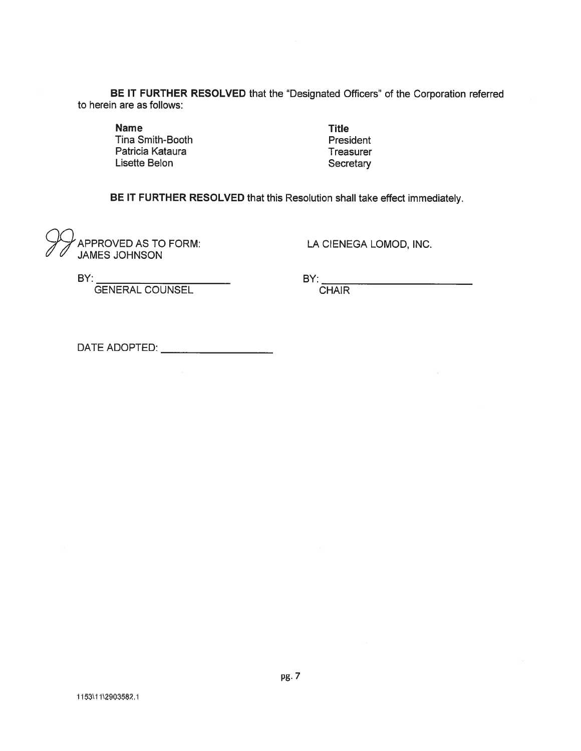BE IT FURTHER RESOLVED that the "Designated Officers" of the Corporation referred to herein are as follows:

**Name** Tina Smith-Booth Patricia Kataura Lisette Belon

**Title** President Treasurer Secretary

BE IT FURTHER RESOLVED that this Resolution shall take effect immediately.

APPROVED AS TO FORM:<br>JAMES JOHNSON

LA CIENEGA LOMOD, INC.

 $BY:$ 

GENERAL COUNSEL

BY:<br>CHAIR

DATE ADOPTED: <u>\_\_\_\_\_\_\_\_\_\_\_\_\_\_\_\_\_\_\_\_\_</u>\_\_\_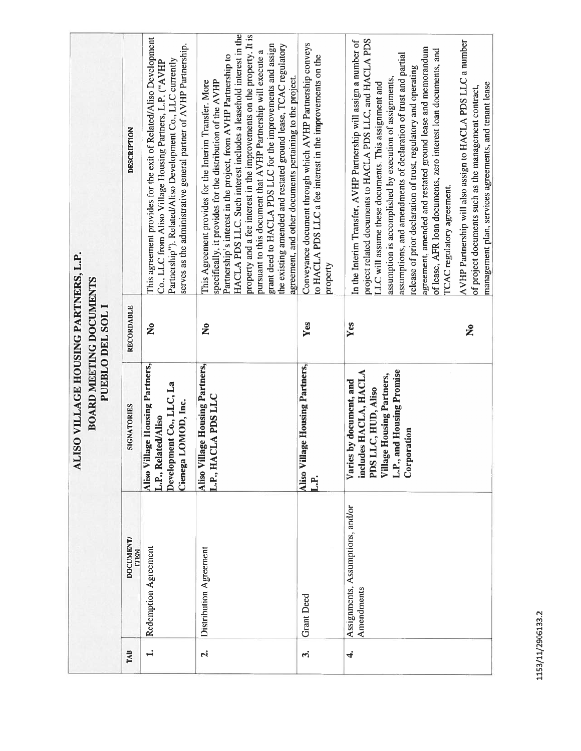| ALISO VILLAGE HOUSING PARTNERS, L.P.<br><b>BOARD MEETING DOCUMENTS</b><br>PUEBLO DEL SOL I | DESCRIPTION<br>RECORDABLE       | This agreement provides for the exit of Related/Aliso Development<br>serves as the administrative general partner of AVHP Partnership.<br>Partnership"). Related/Aliso Development Co., LLC currently<br>Co., LLC from Aliso Village Housing Partners, L.P. ("AVHP<br>$\tilde{\mathbf{z}}$ | HACLA PDS LLC. Such interest includes a leasehold interest in the<br>property and a fee interest in the improvements on the property. It is<br>grant deed to HACLA PDS LLC for the improvements and assign<br>the existing amended and restated ground lease, TCAC regulatory<br>pursuant to this document that AVHP Partnership will execute a<br>Partnership's interest in the project, from AVHP Partnership to<br>agreement, and other documents pertaining to the project.<br>specifically, it provides for the distribution of the AVHP<br>This Agreement provides for the Interim Transfer. More<br>$\tilde{\mathbf{z}}$ | Conveyance document through which AVHP Partnership conveys<br>to HACLA PDS LLC a fee interest in the improvements on the<br>property<br><b>Yes</b> | project related documents to HACLA PDS LLC, and HACLA PDS<br>In the Interim Transfer, AVHP Partnership will assign a number of<br>agreement, amended and restated ground lease and memorandum<br>of lease, AFR loan documents, zero interest loan documents, and<br>assumptions, and amendments of declaration of trust and partial<br>release of prior declaration of trust, regulatory and operating<br>assumption is accomplished by execution of assignments,<br>LLC will assume these documents. This assignment and<br>TCAC regulatory agreement.<br>Yes | AVHP Partnership will also assign to HACLA PDS LLC a number<br>management plan, services agreements, and tenant lease<br>of project documents such as the management contract,<br>ž |
|--------------------------------------------------------------------------------------------|---------------------------------|--------------------------------------------------------------------------------------------------------------------------------------------------------------------------------------------------------------------------------------------------------------------------------------------|---------------------------------------------------------------------------------------------------------------------------------------------------------------------------------------------------------------------------------------------------------------------------------------------------------------------------------------------------------------------------------------------------------------------------------------------------------------------------------------------------------------------------------------------------------------------------------------------------------------------------------|----------------------------------------------------------------------------------------------------------------------------------------------------|----------------------------------------------------------------------------------------------------------------------------------------------------------------------------------------------------------------------------------------------------------------------------------------------------------------------------------------------------------------------------------------------------------------------------------------------------------------------------------------------------------------------------------------------------------------|-------------------------------------------------------------------------------------------------------------------------------------------------------------------------------------|
|                                                                                            | SIGNATORIES                     | Aliso Village Housing Partners,<br>Development Co., LLC, La<br>Cienega LOMOD, Inc.<br>L.P., Related/Aliso                                                                                                                                                                                  | Aliso Village Housing Partners,<br>L.P., HACLA PDS LLC                                                                                                                                                                                                                                                                                                                                                                                                                                                                                                                                                                          | Aliso Village Housing Partners,<br>$\ddot{H}$                                                                                                      | L.P., and Housing Promise<br>includes HACLA, HACLA<br>Village Housing Partners,<br>Varies by document, and<br>PDS LLC, HUD, Aliso<br>Corporation                                                                                                                                                                                                                                                                                                                                                                                                               |                                                                                                                                                                                     |
|                                                                                            | <b>DOCUMENT/</b><br><b>ITEM</b> | Redemption Agreement                                                                                                                                                                                                                                                                       | Distribution Agreement                                                                                                                                                                                                                                                                                                                                                                                                                                                                                                                                                                                                          | <b>Grant</b> Deed                                                                                                                                  | Assignments, Assumptions, and/or<br>Amendments                                                                                                                                                                                                                                                                                                                                                                                                                                                                                                                 |                                                                                                                                                                                     |
|                                                                                            | TAB                             | $\ddot{ }$                                                                                                                                                                                                                                                                                 | $\vec{p}$                                                                                                                                                                                                                                                                                                                                                                                                                                                                                                                                                                                                                       | ကိ                                                                                                                                                 | $\vec{r}$                                                                                                                                                                                                                                                                                                                                                                                                                                                                                                                                                      |                                                                                                                                                                                     |

1153/11/2906133.2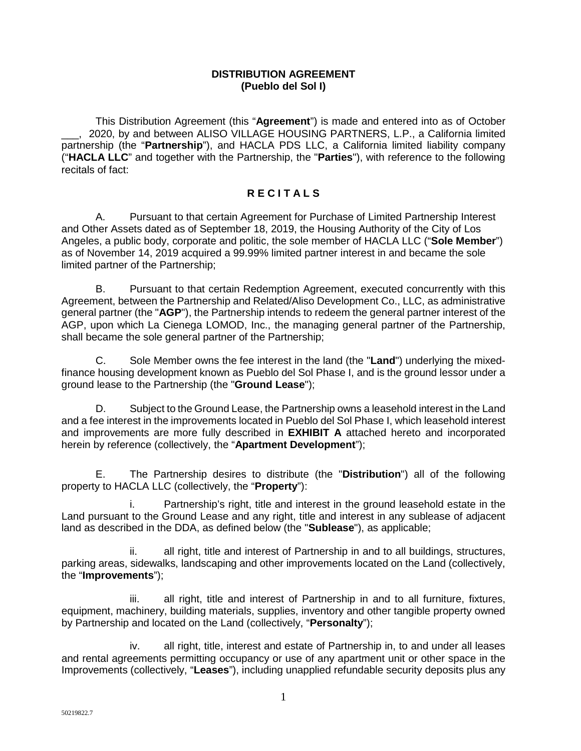## **DISTRIBUTION AGREEMENT (Pueblo del Sol I)**

This Distribution Agreement (this "**Agreement**") is made and entered into as of October \_\_\_, 2020, by and between ALISO VILLAGE HOUSING PARTNERS, L.P., a California limited partnership (the "**Partnership**"), and HACLA PDS LLC, a California limited liability company ("**HACLA LLC**" and together with the Partnership, the "**Parties**"), with reference to the following recitals of fact:

# **R E C I T A L S**

A. Pursuant to that certain Agreement for Purchase of Limited Partnership Interest and Other Assets dated as of September 18, 2019, the Housing Authority of the City of Los Angeles, a public body, corporate and politic, the sole member of HACLA LLC ("**Sole Member**") as of November 14, 2019 acquired a 99.99% limited partner interest in and became the sole limited partner of the Partnership;

B. Pursuant to that certain Redemption Agreement, executed concurrently with this Agreement, between the Partnership and Related/Aliso Development Co., LLC, as administrative general partner (the "**AGP**"), the Partnership intends to redeem the general partner interest of the AGP, upon which La Cienega LOMOD, Inc., the managing general partner of the Partnership, shall became the sole general partner of the Partnership;

C. Sole Member owns the fee interest in the land (the "**Land**") underlying the mixedfinance housing development known as Pueblo del Sol Phase I, and is the ground lessor under a ground lease to the Partnership (the "**Ground Lease**");

D. Subject to the Ground Lease, the Partnership owns a leasehold interest in the Land and a fee interest in the improvements located in Pueblo del Sol Phase I, which leasehold interest and improvements are more fully described in **EXHIBIT A** attached hereto and incorporated herein by reference (collectively, the "**Apartment Development**");

E. The Partnership desires to distribute (the "**Distribution**") all of the following property to HACLA LLC (collectively, the "**Property**"):

i. Partnership's right, title and interest in the ground leasehold estate in the Land pursuant to the Ground Lease and any right, title and interest in any sublease of adjacent land as described in the DDA, as defined below (the "**Sublease**"), as applicable;

ii. all right, title and interest of Partnership in and to all buildings, structures, parking areas, sidewalks, landscaping and other improvements located on the Land (collectively, the "**Improvements**");

iii. all right, title and interest of Partnership in and to all furniture, fixtures, equipment, machinery, building materials, supplies, inventory and other tangible property owned by Partnership and located on the Land (collectively, "**Personalty**");

iv. all right, title, interest and estate of Partnership in, to and under all leases and rental agreements permitting occupancy or use of any apartment unit or other space in the Improvements (collectively, "**Leases**"), including unapplied refundable security deposits plus any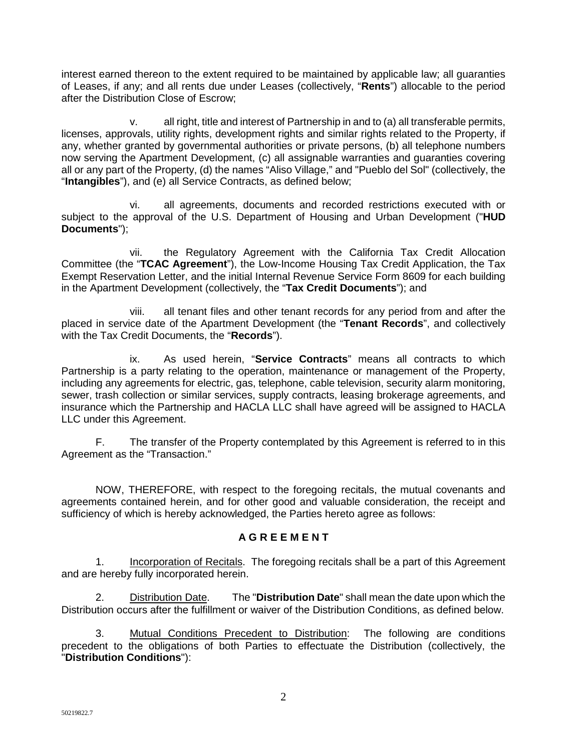interest earned thereon to the extent required to be maintained by applicable law; all guaranties of Leases, if any; and all rents due under Leases (collectively, "**Rents**") allocable to the period after the Distribution Close of Escrow;

v. all right, title and interest of Partnership in and to (a) all transferable permits, licenses, approvals, utility rights, development rights and similar rights related to the Property, if any, whether granted by governmental authorities or private persons, (b) all telephone numbers now serving the Apartment Development, (c) all assignable warranties and guaranties covering all or any part of the Property, (d) the names "Aliso Village," and "Pueblo del Sol" (collectively, the "**Intangibles**"), and (e) all Service Contracts, as defined below;

vi. all agreements, documents and recorded restrictions executed with or subject to the approval of the U.S. Department of Housing and Urban Development ("**HUD Documents**");

vii. the Regulatory Agreement with the California Tax Credit Allocation Committee (the "**TCAC Agreement**"), the Low-Income Housing Tax Credit Application, the Tax Exempt Reservation Letter, and the initial Internal Revenue Service Form 8609 for each building in the Apartment Development (collectively, the "**Tax Credit Documents**"); and

viii. all tenant files and other tenant records for any period from and after the placed in service date of the Apartment Development (the "**Tenant Records**", and collectively with the Tax Credit Documents, the "**Records**").

ix. As used herein, "**Service Contracts**" means all contracts to which Partnership is a party relating to the operation, maintenance or management of the Property, including any agreements for electric, gas, telephone, cable television, security alarm monitoring, sewer, trash collection or similar services, supply contracts, leasing brokerage agreements, and insurance which the Partnership and HACLA LLC shall have agreed will be assigned to HACLA LLC under this Agreement.

F. The transfer of the Property contemplated by this Agreement is referred to in this Agreement as the "Transaction."

NOW, THEREFORE, with respect to the foregoing recitals, the mutual covenants and agreements contained herein, and for other good and valuable consideration, the receipt and sufficiency of which is hereby acknowledged, the Parties hereto agree as follows:

## **A G R E E M E N T**

1. Incorporation of Recitals. The foregoing recitals shall be a part of this Agreement and are hereby fully incorporated herein.

2. Distribution Date. The "**Distribution Date**" shall mean the date upon which the Distribution occurs after the fulfillment or waiver of the Distribution Conditions, as defined below.

3. Mutual Conditions Precedent to Distribution: The following are conditions precedent to the obligations of both Parties to effectuate the Distribution (collectively, the "**Distribution Conditions**"):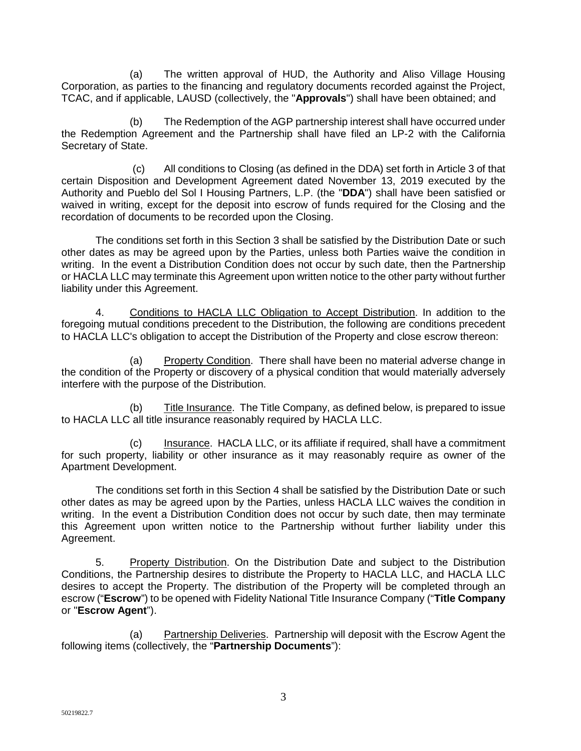(a) The written approval of HUD, the Authority and Aliso Village Housing Corporation, as parties to the financing and regulatory documents recorded against the Project, TCAC, and if applicable, LAUSD (collectively, the "**Approvals**") shall have been obtained; and

(b) The Redemption of the AGP partnership interest shall have occurred under the Redemption Agreement and the Partnership shall have filed an LP-2 with the California Secretary of State.

(c) All conditions to Closing (as defined in the DDA) set forth in Article 3 of that certain Disposition and Development Agreement dated November 13, 2019 executed by the Authority and Pueblo del Sol I Housing Partners, L.P. (the "**DDA**") shall have been satisfied or waived in writing, except for the deposit into escrow of funds required for the Closing and the recordation of documents to be recorded upon the Closing.

The conditions set forth in this Section 3 shall be satisfied by the Distribution Date or such other dates as may be agreed upon by the Parties, unless both Parties waive the condition in writing. In the event a Distribution Condition does not occur by such date, then the Partnership or HACLA LLC may terminate this Agreement upon written notice to the other party without further liability under this Agreement.

4. Conditions to HACLA LLC Obligation to Accept Distribution. In addition to the foregoing mutual conditions precedent to the Distribution, the following are conditions precedent to HACLA LLC's obligation to accept the Distribution of the Property and close escrow thereon:

(a) Property Condition. There shall have been no material adverse change in the condition of the Property or discovery of a physical condition that would materially adversely interfere with the purpose of the Distribution.

(b) Title Insurance. The Title Company, as defined below, is prepared to issue to HACLA LLC all title insurance reasonably required by HACLA LLC.

(c) Insurance. HACLA LLC, or its affiliate if required, shall have a commitment for such property, liability or other insurance as it may reasonably require as owner of the Apartment Development.

The conditions set forth in this Section 4 shall be satisfied by the Distribution Date or such other dates as may be agreed upon by the Parties, unless HACLA LLC waives the condition in writing. In the event a Distribution Condition does not occur by such date, then may terminate this Agreement upon written notice to the Partnership without further liability under this Agreement.

5. Property Distribution. On the Distribution Date and subject to the Distribution Conditions, the Partnership desires to distribute the Property to HACLA LLC, and HACLA LLC desires to accept the Property. The distribution of the Property will be completed through an escrow ("**Escrow**") to be opened with Fidelity National Title Insurance Company ("**Title Company** or "**Escrow Agent**").

(a) Partnership Deliveries. Partnership will deposit with the Escrow Agent the following items (collectively, the "**Partnership Documents**"):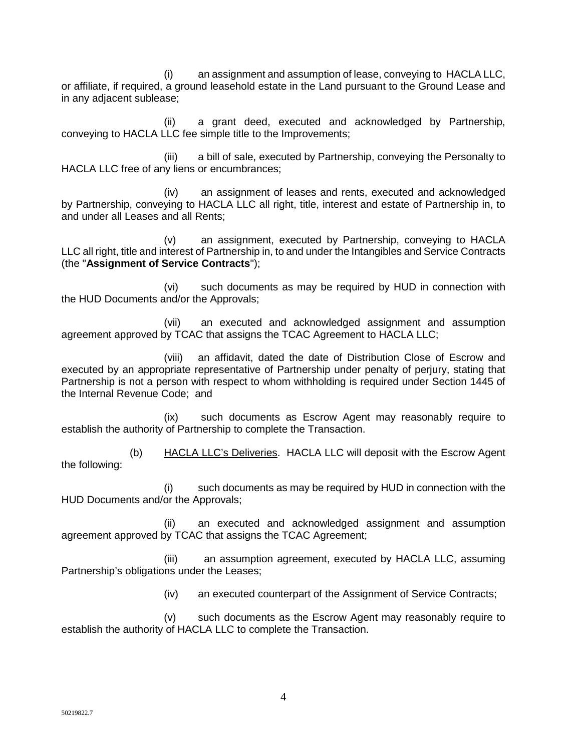(i) an assignment and assumption of lease, conveying to HACLA LLC, or affiliate, if required, a ground leasehold estate in the Land pursuant to the Ground Lease and in any adjacent sublease;

(ii) a grant deed, executed and acknowledged by Partnership, conveying to HACLA LLC fee simple title to the Improvements;

(iii) a bill of sale, executed by Partnership, conveying the Personalty to HACLA LLC free of any liens or encumbrances;

(iv) an assignment of leases and rents, executed and acknowledged by Partnership, conveying to HACLA LLC all right, title, interest and estate of Partnership in, to and under all Leases and all Rents;

(v) an assignment, executed by Partnership, conveying to HACLA LLC all right, title and interest of Partnership in, to and under the Intangibles and Service Contracts (the "**Assignment of Service Contracts**");

(vi) such documents as may be required by HUD in connection with the HUD Documents and/or the Approvals;

(vii) an executed and acknowledged assignment and assumption agreement approved by TCAC that assigns the TCAC Agreement to HACLA LLC;

(viii) an affidavit, dated the date of Distribution Close of Escrow and executed by an appropriate representative of Partnership under penalty of perjury, stating that Partnership is not a person with respect to whom withholding is required under Section 1445 of the Internal Revenue Code; and

(ix) such documents as Escrow Agent may reasonably require to establish the authority of Partnership to complete the Transaction.

(b) HACLA LLC's Deliveries. HACLA LLC will deposit with the Escrow Agent the following:

(i) such documents as may be required by HUD in connection with the HUD Documents and/or the Approvals;

(ii) an executed and acknowledged assignment and assumption agreement approved by TCAC that assigns the TCAC Agreement;

(iii) an assumption agreement, executed by HACLA LLC, assuming Partnership's obligations under the Leases;

(iv) an executed counterpart of the Assignment of Service Contracts;

(v) such documents as the Escrow Agent may reasonably require to establish the authority of HACLA LLC to complete the Transaction.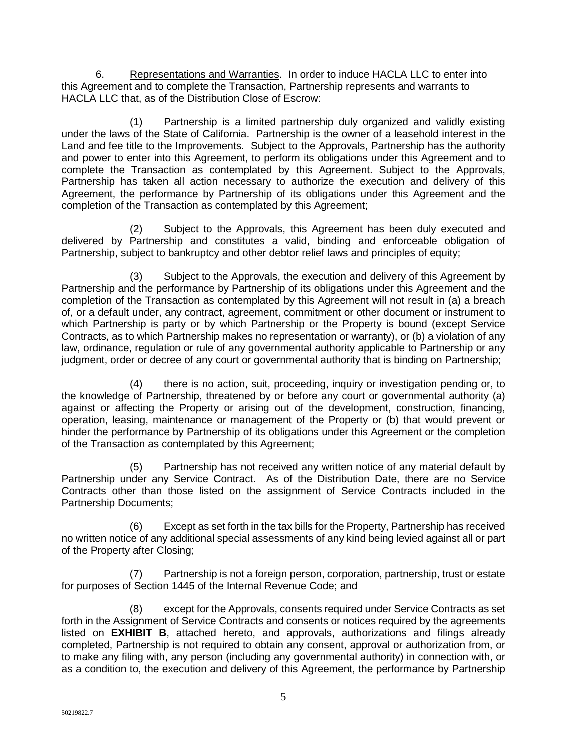6. Representations and Warranties. In order to induce HACLA LLC to enter into this Agreement and to complete the Transaction, Partnership represents and warrants to HACLA LLC that, as of the Distribution Close of Escrow:

(1) Partnership is a limited partnership duly organized and validly existing under the laws of the State of California. Partnership is the owner of a leasehold interest in the Land and fee title to the Improvements. Subject to the Approvals, Partnership has the authority and power to enter into this Agreement, to perform its obligations under this Agreement and to complete the Transaction as contemplated by this Agreement. Subject to the Approvals, Partnership has taken all action necessary to authorize the execution and delivery of this Agreement, the performance by Partnership of its obligations under this Agreement and the completion of the Transaction as contemplated by this Agreement;

(2) Subject to the Approvals, this Agreement has been duly executed and delivered by Partnership and constitutes a valid, binding and enforceable obligation of Partnership, subject to bankruptcy and other debtor relief laws and principles of equity;

(3) Subject to the Approvals, the execution and delivery of this Agreement by Partnership and the performance by Partnership of its obligations under this Agreement and the completion of the Transaction as contemplated by this Agreement will not result in (a) a breach of, or a default under, any contract, agreement, commitment or other document or instrument to which Partnership is party or by which Partnership or the Property is bound (except Service Contracts, as to which Partnership makes no representation or warranty), or (b) a violation of any law, ordinance, regulation or rule of any governmental authority applicable to Partnership or any judgment, order or decree of any court or governmental authority that is binding on Partnership;

(4) there is no action, suit, proceeding, inquiry or investigation pending or, to the knowledge of Partnership, threatened by or before any court or governmental authority (a) against or affecting the Property or arising out of the development, construction, financing, operation, leasing, maintenance or management of the Property or (b) that would prevent or hinder the performance by Partnership of its obligations under this Agreement or the completion of the Transaction as contemplated by this Agreement;

(5) Partnership has not received any written notice of any material default by Partnership under any Service Contract. As of the Distribution Date, there are no Service Contracts other than those listed on the assignment of Service Contracts included in the Partnership Documents;

(6) Except as set forth in the tax bills for the Property, Partnership has received no written notice of any additional special assessments of any kind being levied against all or part of the Property after Closing;

(7) Partnership is not a foreign person, corporation, partnership, trust or estate for purposes of Section 1445 of the Internal Revenue Code; and

(8) except for the Approvals, consents required under Service Contracts as set forth in the Assignment of Service Contracts and consents or notices required by the agreements listed on **EXHIBIT B**, attached hereto, and approvals, authorizations and filings already completed, Partnership is not required to obtain any consent, approval or authorization from, or to make any filing with, any person (including any governmental authority) in connection with, or as a condition to, the execution and delivery of this Agreement, the performance by Partnership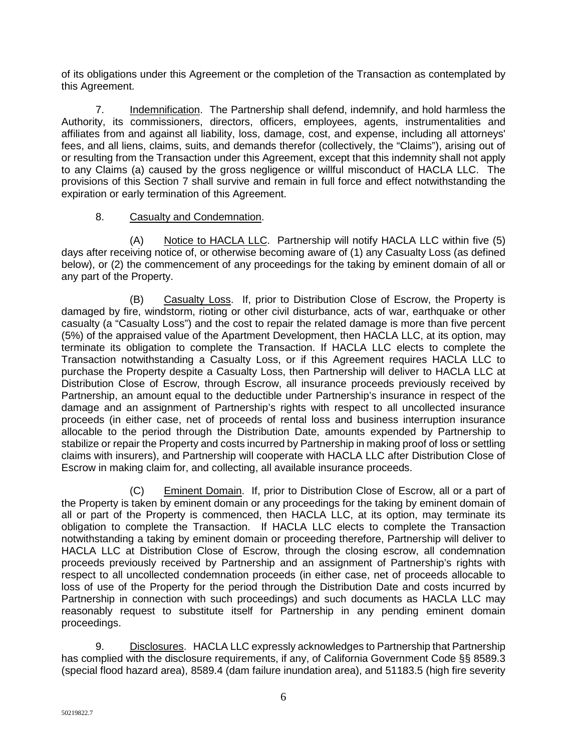of its obligations under this Agreement or the completion of the Transaction as contemplated by this Agreement.

7. Indemnification. The Partnership shall defend, indemnify, and hold harmless the Authority, its commissioners, directors, officers, employees, agents, instrumentalities and affiliates from and against all liability, loss, damage, cost, and expense, including all attorneys' fees, and all liens, claims, suits, and demands therefor (collectively, the "Claims"), arising out of or resulting from the Transaction under this Agreement, except that this indemnity shall not apply to any Claims (a) caused by the gross negligence or willful misconduct of HACLA LLC. The provisions of this Section 7 shall survive and remain in full force and effect notwithstanding the expiration or early termination of this Agreement.

# 8. Casualty and Condemnation.

(A) Notice to HACLA LLC. Partnership will notify HACLA LLC within five (5) days after receiving notice of, or otherwise becoming aware of (1) any Casualty Loss (as defined below), or (2) the commencement of any proceedings for the taking by eminent domain of all or any part of the Property.

(B) Casualty Loss. If, prior to Distribution Close of Escrow, the Property is damaged by fire, windstorm, rioting or other civil disturbance, acts of war, earthquake or other casualty (a "Casualty Loss") and the cost to repair the related damage is more than five percent (5%) of the appraised value of the Apartment Development, then HACLA LLC, at its option, may terminate its obligation to complete the Transaction. If HACLA LLC elects to complete the Transaction notwithstanding a Casualty Loss, or if this Agreement requires HACLA LLC to purchase the Property despite a Casualty Loss, then Partnership will deliver to HACLA LLC at Distribution Close of Escrow, through Escrow, all insurance proceeds previously received by Partnership, an amount equal to the deductible under Partnership's insurance in respect of the damage and an assignment of Partnership's rights with respect to all uncollected insurance proceeds (in either case, net of proceeds of rental loss and business interruption insurance allocable to the period through the Distribution Date, amounts expended by Partnership to stabilize or repair the Property and costs incurred by Partnership in making proof of loss or settling claims with insurers), and Partnership will cooperate with HACLA LLC after Distribution Close of Escrow in making claim for, and collecting, all available insurance proceeds.

(C) Eminent Domain. If, prior to Distribution Close of Escrow, all or a part of the Property is taken by eminent domain or any proceedings for the taking by eminent domain of all or part of the Property is commenced, then HACLA LLC, at its option, may terminate its obligation to complete the Transaction. If HACLA LLC elects to complete the Transaction notwithstanding a taking by eminent domain or proceeding therefore, Partnership will deliver to HACLA LLC at Distribution Close of Escrow, through the closing escrow, all condemnation proceeds previously received by Partnership and an assignment of Partnership's rights with respect to all uncollected condemnation proceeds (in either case, net of proceeds allocable to loss of use of the Property for the period through the Distribution Date and costs incurred by Partnership in connection with such proceedings) and such documents as HACLA LLC may reasonably request to substitute itself for Partnership in any pending eminent domain proceedings.

9. Disclosures. HACLA LLC expressly acknowledges to Partnership that Partnership has complied with the disclosure requirements, if any, of California Government Code §§ 8589.3 (special flood hazard area), 8589.4 (dam failure inundation area), and 51183.5 (high fire severity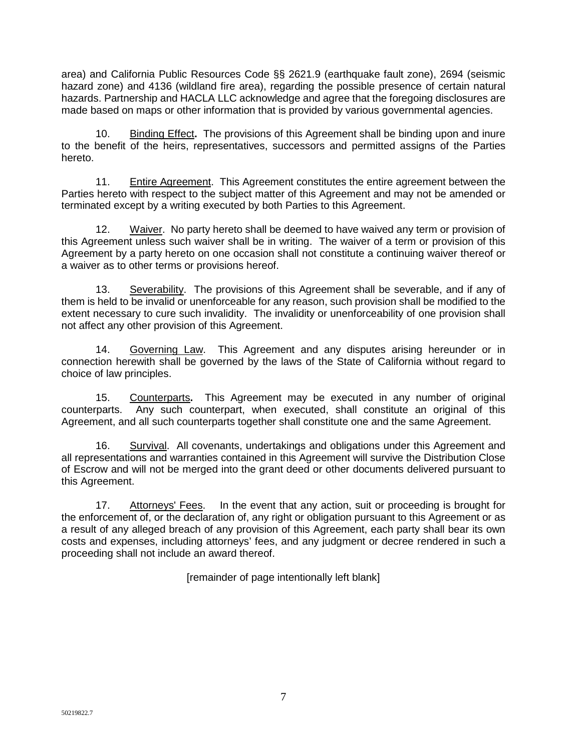area) and California Public Resources Code §§ 2621.9 (earthquake fault zone), 2694 (seismic hazard zone) and 4136 (wildland fire area), regarding the possible presence of certain natural hazards. Partnership and HACLA LLC acknowledge and agree that the foregoing disclosures are made based on maps or other information that is provided by various governmental agencies.

10. Binding Effect**.** The provisions of this Agreement shall be binding upon and inure to the benefit of the heirs, representatives, successors and permitted assigns of the Parties hereto.

11. Entire Agreement. This Agreement constitutes the entire agreement between the Parties hereto with respect to the subject matter of this Agreement and may not be amended or terminated except by a writing executed by both Parties to this Agreement.

12. Waiver. No party hereto shall be deemed to have waived any term or provision of this Agreement unless such waiver shall be in writing. The waiver of a term or provision of this Agreement by a party hereto on one occasion shall not constitute a continuing waiver thereof or a waiver as to other terms or provisions hereof.

13. Severability. The provisions of this Agreement shall be severable, and if any of them is held to be invalid or unenforceable for any reason, such provision shall be modified to the extent necessary to cure such invalidity. The invalidity or unenforceability of one provision shall not affect any other provision of this Agreement.

14. Governing Law. This Agreement and any disputes arising hereunder or in connection herewith shall be governed by the laws of the State of California without regard to choice of law principles.

15. Counterparts**.** This Agreement may be executed in any number of original counterparts. Any such counterpart, when executed, shall constitute an original of this Agreement, and all such counterparts together shall constitute one and the same Agreement.

16. Survival. All covenants, undertakings and obligations under this Agreement and all representations and warranties contained in this Agreement will survive the Distribution Close of Escrow and will not be merged into the grant deed or other documents delivered pursuant to this Agreement.

17. Attorneys' Fees. In the event that any action, suit or proceeding is brought for the enforcement of, or the declaration of, any right or obligation pursuant to this Agreement or as a result of any alleged breach of any provision of this Agreement, each party shall bear its own costs and expenses, including attorneys' fees, and any judgment or decree rendered in such a proceeding shall not include an award thereof.

[remainder of page intentionally left blank]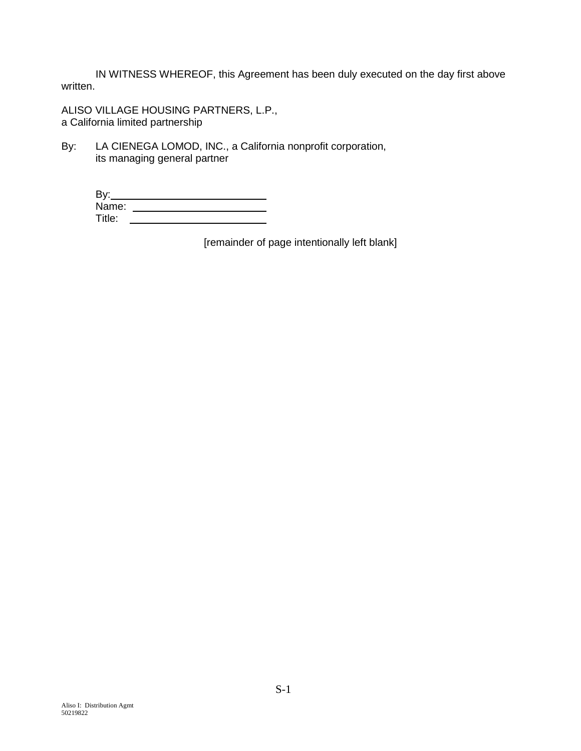IN WITNESS WHEREOF, this Agreement has been duly executed on the day first above written.

ALISO VILLAGE HOUSING PARTNERS, L.P., a California limited partnership

By: LA CIENEGA LOMOD, INC., a California nonprofit corporation, its managing general partner

| By:    |  |
|--------|--|
| Name:  |  |
| Title: |  |

[remainder of page intentionally left blank]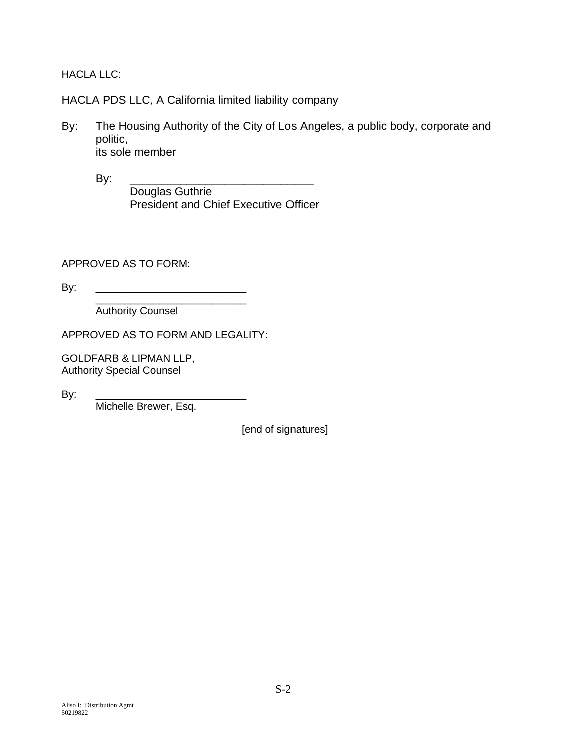HACLA LLC:

HACLA PDS LLC, A California limited liability company

By: The Housing Authority of the City of Los Angeles, a public body, corporate and politic, its sole member

By: \_\_\_\_\_\_\_\_\_\_\_\_\_\_\_\_\_\_\_\_\_\_\_\_\_\_\_\_\_ Douglas Guthrie President and Chief Executive Officer

APPROVED AS TO FORM:

By: \_\_\_\_\_\_\_\_\_\_\_\_\_\_\_\_\_\_\_\_\_\_\_\_\_\_

\_\_\_\_\_\_\_\_\_\_\_\_\_\_\_\_\_\_\_\_\_\_\_\_\_\_ Authority Counsel

APPROVED AS TO FORM AND LEGALITY:

GOLDFARB & LIPMAN LLP, Authority Special Counsel

By: \_\_\_\_\_\_\_\_\_\_\_\_\_\_\_\_\_\_\_\_\_\_\_\_\_\_

Michelle Brewer, Esq.

[end of signatures]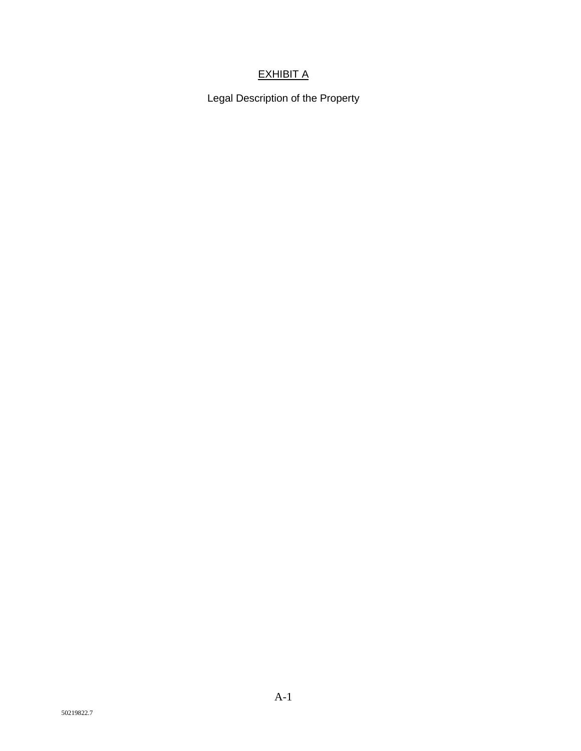# **EXHIBIT A**

Legal Description of the Property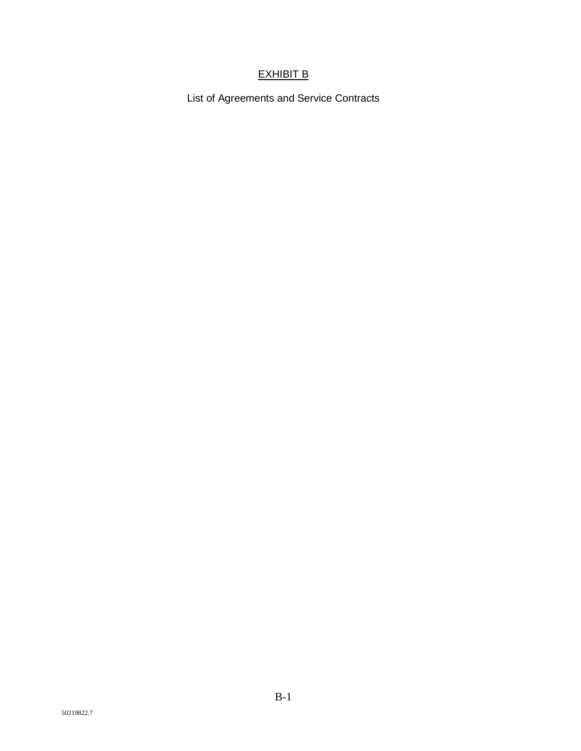# EXHIBIT B

List of Agreements and Service Contracts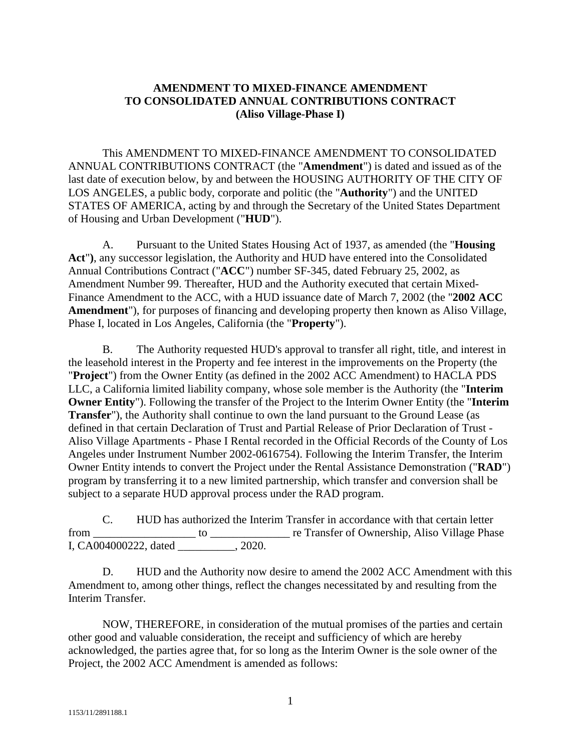# **AMENDMENT TO MIXED-FINANCE AMENDMENT TO CONSOLIDATED ANNUAL CONTRIBUTIONS CONTRACT (Aliso Village-Phase I)**

This AMENDMENT TO MIXED-FINANCE AMENDMENT TO CONSOLIDATED ANNUAL CONTRIBUTIONS CONTRACT (the "**Amendment**") is dated and issued as of the last date of execution below, by and between the HOUSING AUTHORITY OF THE CITY OF LOS ANGELES, a public body, corporate and politic (the "**Authority**") and the UNITED STATES OF AMERICA, acting by and through the Secretary of the United States Department of Housing and Urban Development ("**HUD**").

A. Pursuant to the United States Housing Act of 1937, as amended (the "**Housing Act**"**)**, any successor legislation, the Authority and HUD have entered into the Consolidated Annual Contributions Contract ("**ACC**") number SF-345, dated February 25, 2002, as Amendment Number 99. Thereafter, HUD and the Authority executed that certain Mixed-Finance Amendment to the ACC, with a HUD issuance date of March 7, 2002 (the "**2002 ACC Amendment**"), for purposes of financing and developing property then known as Aliso Village, Phase I, located in Los Angeles, California (the "**Property**").

B. The Authority requested HUD's approval to transfer all right, title, and interest in the leasehold interest in the Property and fee interest in the improvements on the Property (the "**Project**") from the Owner Entity (as defined in the 2002 ACC Amendment) to HACLA PDS LLC, a California limited liability company, whose sole member is the Authority (the "**Interim Owner Entity**"). Following the transfer of the Project to the Interim Owner Entity (the "**Interim Transfer**"), the Authority shall continue to own the land pursuant to the Ground Lease (as defined in that certain Declaration of Trust and Partial Release of Prior Declaration of Trust - Aliso Village Apartments - Phase I Rental recorded in the Official Records of the County of Los Angeles under Instrument Number 2002-0616754). Following the Interim Transfer, the Interim Owner Entity intends to convert the Project under the Rental Assistance Demonstration ("**RAD**") program by transferring it to a new limited partnership, which transfer and conversion shall be subject to a separate HUD approval process under the RAD program.

C. HUD has authorized the Interim Transfer in accordance with that certain letter from \_\_\_\_\_\_\_\_\_\_\_\_\_\_\_\_\_\_ to \_\_\_\_\_\_\_\_\_\_\_\_\_\_ re Transfer of Ownership, Aliso Village Phase I, CA004000222, dated  $\qquad \qquad$ , 2020.

D. HUD and the Authority now desire to amend the 2002 ACC Amendment with this Amendment to, among other things, reflect the changes necessitated by and resulting from the Interim Transfer.

NOW, THEREFORE, in consideration of the mutual promises of the parties and certain other good and valuable consideration, the receipt and sufficiency of which are hereby acknowledged, the parties agree that, for so long as the Interim Owner is the sole owner of the Project, the 2002 ACC Amendment is amended as follows: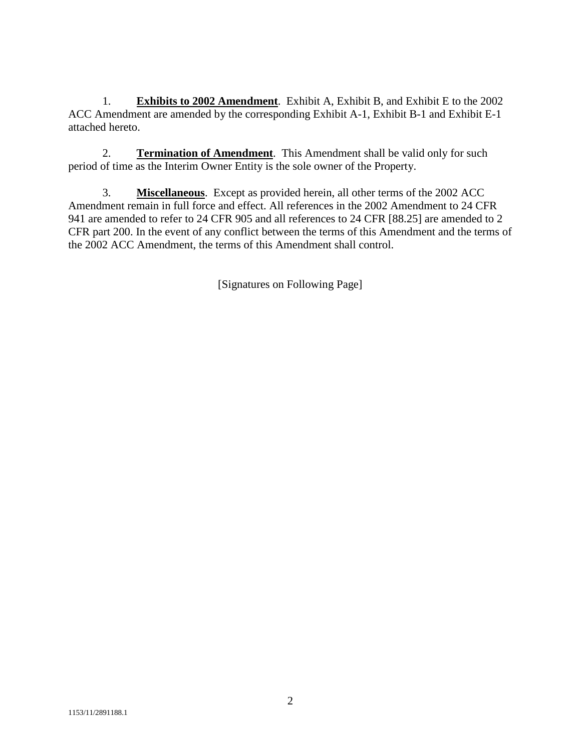1. **Exhibits to 2002 Amendment**. Exhibit A, Exhibit B, and Exhibit E to the 2002 ACC Amendment are amended by the corresponding Exhibit A-1, Exhibit B-1 and Exhibit E-1 attached hereto.

2. **Termination of Amendment**. This Amendment shall be valid only for such period of time as the Interim Owner Entity is the sole owner of the Property.

3. **Miscellaneous**. Except as provided herein, all other terms of the 2002 ACC Amendment remain in full force and effect. All references in the 2002 Amendment to 24 CFR 941 are amended to refer to 24 CFR 905 and all references to 24 CFR [88.25] are amended to 2 CFR part 200. In the event of any conflict between the terms of this Amendment and the terms of the 2002 ACC Amendment, the terms of this Amendment shall control.

[Signatures on Following Page]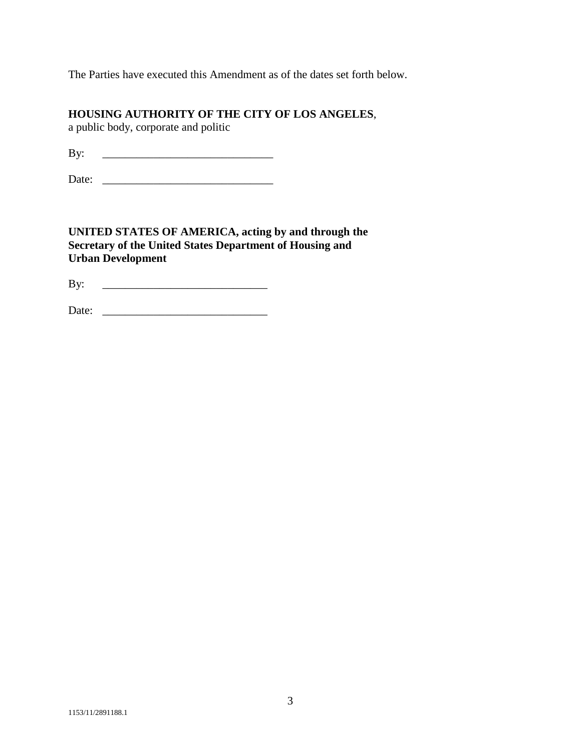The Parties have executed this Amendment as of the dates set forth below.

# **HOUSING AUTHORITY OF THE CITY OF LOS ANGELES**,

a public body, corporate and politic

By: \_\_\_\_\_\_\_\_\_\_\_\_\_\_\_\_\_\_\_\_\_\_\_\_\_\_\_\_\_\_

Date: \_\_\_\_\_\_\_\_\_\_\_\_\_\_\_\_\_\_\_\_\_\_\_\_\_\_\_\_\_\_

**UNITED STATES OF AMERICA, acting by and through the Secretary of the United States Department of Housing and Urban Development**

By: \_\_\_\_\_\_\_\_\_\_\_\_\_\_\_\_\_\_\_\_\_\_\_\_\_\_\_\_\_

Date: \_\_\_\_\_\_\_\_\_\_\_\_\_\_\_\_\_\_\_\_\_\_\_\_\_\_\_\_\_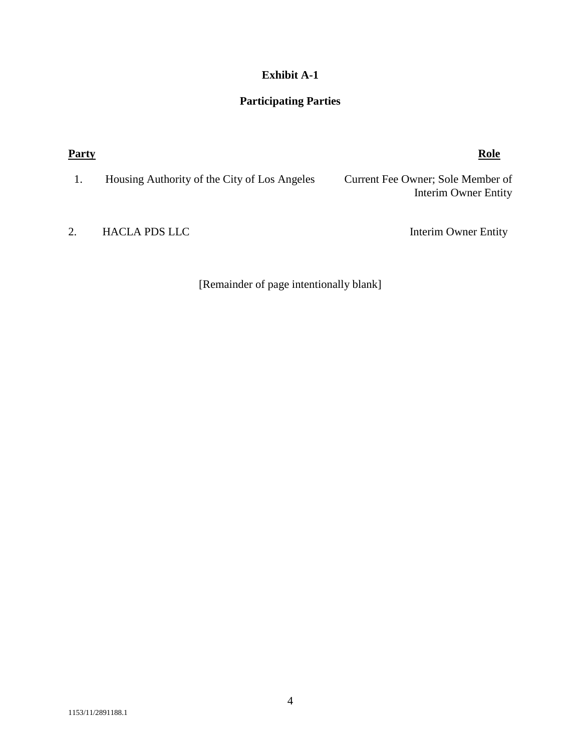# **Exhibit A-1**

# **Participating Parties**

| <b>Party</b> |                                              | Role                                                      |
|--------------|----------------------------------------------|-----------------------------------------------------------|
|              | Housing Authority of the City of Los Angeles | Current Fee Owner; Sole Member of<br>Interim Owner Entity |
| 2.           | <b>HACLA PDS LLC</b>                         | Interim Owner Entity                                      |

[Remainder of page intentionally blank]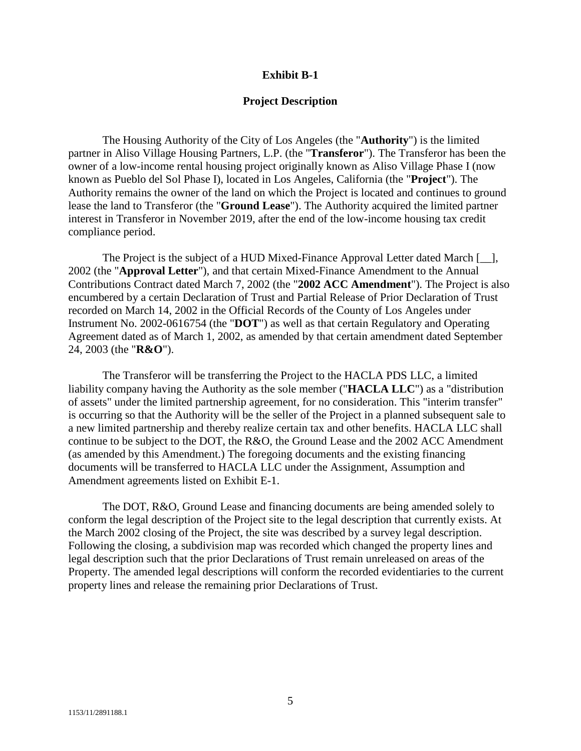## **Exhibit B-1**

## **Project Description**

The Housing Authority of the City of Los Angeles (the "**Authority**") is the limited partner in Aliso Village Housing Partners, L.P. (the "**Transferor**"). The Transferor has been the owner of a low-income rental housing project originally known as Aliso Village Phase I (now known as Pueblo del Sol Phase I), located in Los Angeles, California (the "**Project**"). The Authority remains the owner of the land on which the Project is located and continues to ground lease the land to Transferor (the "**Ground Lease**"). The Authority acquired the limited partner interest in Transferor in November 2019, after the end of the low-income housing tax credit compliance period.

The Project is the subject of a HUD Mixed-Finance Approval Letter dated March [\_\_], 2002 (the "**Approval Letter**"), and that certain Mixed-Finance Amendment to the Annual Contributions Contract dated March 7, 2002 (the "**2002 ACC Amendment**"). The Project is also encumbered by a certain Declaration of Trust and Partial Release of Prior Declaration of Trust recorded on March 14, 2002 in the Official Records of the County of Los Angeles under Instrument No. 2002-0616754 (the "**DOT**") as well as that certain Regulatory and Operating Agreement dated as of March 1, 2002, as amended by that certain amendment dated September 24, 2003 (the "**R&O**").

The Transferor will be transferring the Project to the HACLA PDS LLC, a limited liability company having the Authority as the sole member ("**HACLA LLC**") as a "distribution of assets" under the limited partnership agreement, for no consideration. This "interim transfer" is occurring so that the Authority will be the seller of the Project in a planned subsequent sale to a new limited partnership and thereby realize certain tax and other benefits. HACLA LLC shall continue to be subject to the DOT, the R&O, the Ground Lease and the 2002 ACC Amendment (as amended by this Amendment.) The foregoing documents and the existing financing documents will be transferred to HACLA LLC under the Assignment, Assumption and Amendment agreements listed on Exhibit E-1.

The DOT, R&O, Ground Lease and financing documents are being amended solely to conform the legal description of the Project site to the legal description that currently exists. At the March 2002 closing of the Project, the site was described by a survey legal description. Following the closing, a subdivision map was recorded which changed the property lines and legal description such that the prior Declarations of Trust remain unreleased on areas of the Property. The amended legal descriptions will conform the recorded evidentiaries to the current property lines and release the remaining prior Declarations of Trust.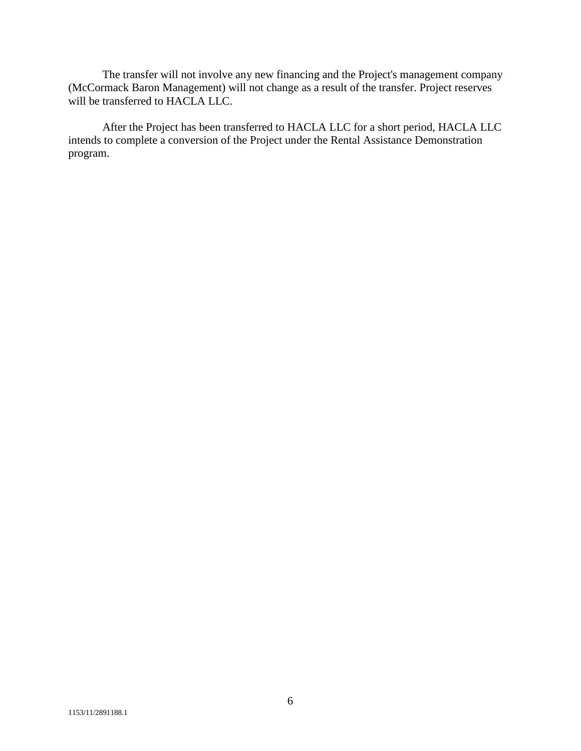The transfer will not involve any new financing and the Project's management company (McCormack Baron Management) will not change as a result of the transfer. Project reserves will be transferred to HACLA LLC.

After the Project has been transferred to HACLA LLC for a short period, HACLA LLC intends to complete a conversion of the Project under the Rental Assistance Demonstration program.